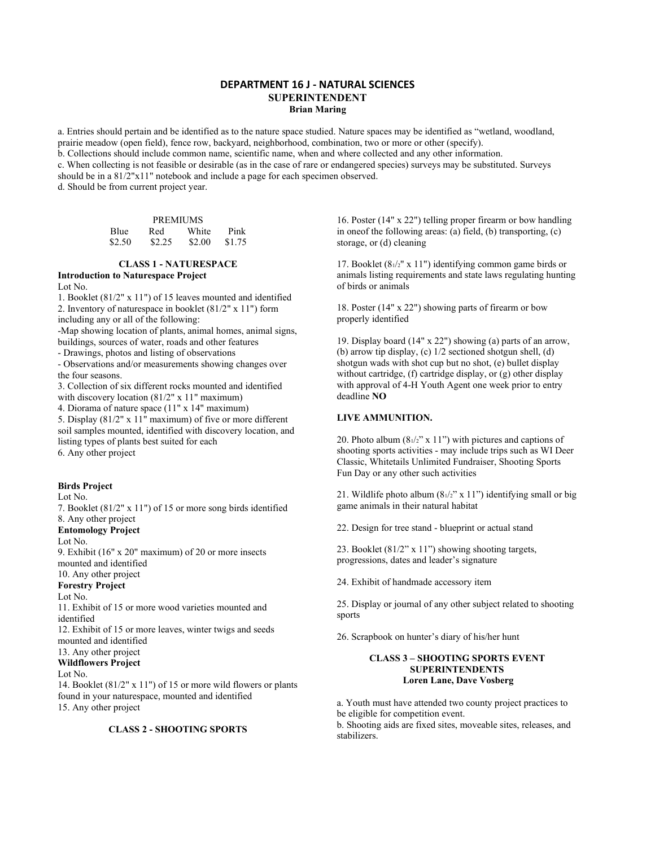### **DEPARTMENT 16 J - NATURAL SCIENCES SUPERINTENDENT Brian Maring**

a. Entries should pertain and be identified as to the nature space studied. Nature spaces may be identified as "wetland, woodland, prairie meadow (open field), fence row, backyard, neighborhood, combination, two or more or other (specify).

b. Collections should include common name, scientific name, when and where collected and any other information.

c. When collecting is not feasible or desirable (as in the case of rare or endangered species) surveys may be substituted. Surveys should be in a 81/2"x11" notebook and include a page for each specimen observed.

d. Should be from current project year.

| <b>PREMIUMS</b> |        |        |        |
|-----------------|--------|--------|--------|
| <b>Blue</b>     | Red    | White  | Pink   |
| \$2.50          | \$2.25 | \$2.00 | \$1.75 |

#### **CLASS 1 - NATURESPACE Introduction to Naturespace Project**

 $L \circ t$  No.

1. Booklet (81/2" x 11") of 15 leaves mounted and identified 2. Inventory of naturespace in booklet (81/2" x 11") form

including any or all of the following:

-Map showing location of plants, animal homes, animal signs, buildings, sources of water, roads and other features

- Drawings, photos and listing of observations

- Observations and/or measurements showing changes over the four seasons.

3. Collection of six different rocks mounted and identified with discovery location (81/2" x 11" maximum)

4. Diorama of nature space (11" x 14" maximum)

5. Display (81/2" x 11" maximum) of five or more different soil samples mounted, identified with discovery location, and listing types of plants best suited for each 6. Any other project

# **Birds Project**

Lot No.

7. Booklet (81/2" x 11") of 15 or more song birds identified 8. Any other project

### **Entomology Project**

Lot No.

9. Exhibit (16" x 20" maximum) of 20 or more insects mounted and identified

10. Any other project **Forestry Project**

# Lot No.

11. Exhibit of 15 or more wood varieties mounted and identified

12. Exhibit of 15 or more leaves, winter twigs and seeds mounted and identified

#### 13. Any other project

**Wildflowers Project**

### Lot No.

14. Booklet (81/2" x 11") of 15 or more wild flowers or plants found in your naturespace, mounted and identified 15. Any other project

### **CLASS 2 - SHOOTING SPORTS**

16. Poster (14" x 22") telling proper firearm or bow handling in oneof the following areas: (a) field, (b) transporting, (c) storage, or (d) cleaning

17. Booklet (81/2" x 11") identifying common game birds or animals listing requirements and state laws regulating hunting of birds or animals

18. Poster (14" x 22") showing parts of firearm or bow properly identified

19. Display board (14" x 22") showing (a) parts of an arrow, (b) arrow tip display, (c) 1/2 sectioned shotgun shell, (d) shotgun wads with shot cup but no shot, (e) bullet display without cartridge, (f) cartridge display, or (g) other display with approval of 4-H Youth Agent one week prior to entry deadline **NO**

#### **LIVE AMMUNITION.**

20. Photo album  $(81/2" x 11")$  with pictures and captions of shooting sports activities - may include trips such as WI Deer Classic, Whitetails Unlimited Fundraiser, Shooting Sports Fun Day or any other such activities

21. Wildlife photo album (81/2" x 11") identifying small or big game animals in their natural habitat

22. Design for tree stand - blueprint or actual stand

23. Booklet (81/2" x 11") showing shooting targets, progressions, dates and leader's signature

24. Exhibit of handmade accessory item

25. Display or journal of any other subject related to shooting sports

26. Scrapbook on hunter's diary of his/her hunt

#### **CLASS 3 – SHOOTING SPORTS EVENT SUPERINTENDENTS Loren Lane, Dave Vosberg**

a. Youth must have attended two county project practices to be eligible for competition event.

b. Shooting aids are fixed sites, moveable sites, releases, and stabilizers.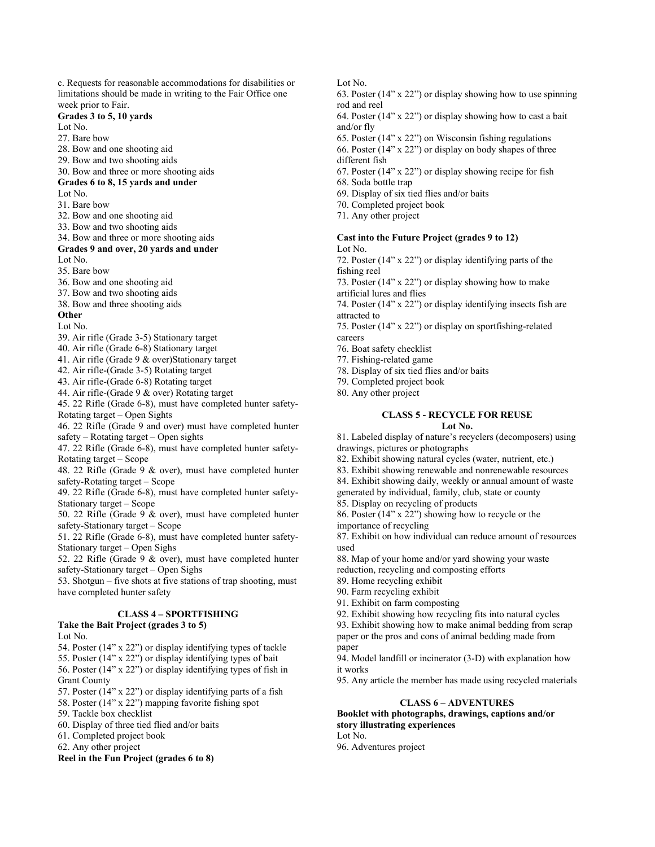limitations should be made in writing to the Fair Office one week prior to Fair. **Grades 3 to 5, 10 yards** Lot No. 27. Bare bow 28. Bow and one shooting aid 29. Bow and two shooting aids 30. Bow and three or more shooting aids **Grades 6 to 8, 15 yards and under** Lot No. 31. Bare bow 32. Bow and one shooting aid 33. Bow and two shooting aids 34. Bow and three or more shooting aids **Grades 9 and over, 20 yards and under** Lot No. 35. Bare bow 36. Bow and one shooting aid 37. Bow and two shooting aids 38. Bow and three shooting aids **Other** Lot No. 39. Air rifle (Grade 3-5) Stationary target 40. Air rifle (Grade 6-8) Stationary target 41. Air rifle (Grade 9 & over)Stationary target 42. Air rifle-(Grade 3-5) Rotating target 43. Air rifle-(Grade 6-8) Rotating target 44. Air rifle-(Grade 9 & over) Rotating target 45. 22 Rifle (Grade 6-8), must have completed hunter safety-Rotating target – Open Sights 46. 22 Rifle (Grade 9 and over) must have completed hunter safety – Rotating target – Open sights 47. 22 Rifle (Grade 6-8), must have completed hunter safety-Rotating target – Scope 48. 22 Rifle (Grade 9 & over), must have completed hunter safety-Rotating target – Scope 49. 22 Rifle (Grade 6-8), must have completed hunter safety-Stationary target – Scope 50. 22 Rifle (Grade  $9 \&$  over), must have completed hunter safety-Stationary target – Scope 51. 22 Rifle (Grade 6-8), must have completed hunter safety-Stationary target – Open Sighs 52. 22 Rifle (Grade 9 & over), must have completed hunter safety-Stationary target – Open Sighs 53. Shotgun – five shots at five stations of trap shooting, must have completed hunter safety **CLASS 4 – SPORTFISHING Take the Bait Project (grades 3 to 5)** Lot No. 54. Poster (14" x 22") or display identifying types of tackle 55. Poster (14" x 22") or display identifying types of bait 56. Poster (14" x 22") or display identifying types of fish in Grant County

c. Requests for reasonable accommodations for disabilities or

57. Poster (14" x 22") or display identifying parts of a fish

58. Poster (14" x 22") mapping favorite fishing spot

59. Tackle box checklist

60. Display of three tied flied and/or baits

61. Completed project book

62. Any other project

**Reel in the Fun Project (grades 6 to 8)**

Lot No.

63. Poster (14" x 22") or display showing how to use spinning rod and reel

64. Poster (14" x 22") or display showing how to cast a bait and/or fly

65. Poster (14" x 22") on Wisconsin fishing regulations 66. Poster (14" x 22") or display on body shapes of three different fish

67. Poster (14" x 22") or display showing recipe for fish

68. Soda bottle trap

69. Display of six tied flies and/or baits

70. Completed project book

71. Any other project

#### **Cast into the Future Project (grades 9 to 12)** Lot No.

72. Poster (14" x 22") or display identifying parts of the fishing reel

73. Poster (14" x 22") or display showing how to make artificial lures and flies

74. Poster (14" x 22") or display identifying insects fish are attracted to

75. Poster (14" x 22") or display on sportfishing-related careers

76. Boat safety checklist

77. Fishing-related game

78. Display of six tied flies and/or baits

79. Completed project book

80. Any other project

# **CLASS 5 - RECYCLE FOR REUSE**

#### **Lot No.**

81. Labeled display of nature's recyclers (decomposers) using drawings, pictures or photographs

82. Exhibit showing natural cycles (water, nutrient, etc.)

83. Exhibit showing renewable and nonrenewable resources

84. Exhibit showing daily, weekly or annual amount of waste

generated by individual, family, club, state or county

85. Display on recycling of products

86. Poster (14" x 22") showing how to recycle or the importance of recycling

87. Exhibit on how individual can reduce amount of resources used

88. Map of your home and/or yard showing your waste

reduction, recycling and composting efforts

89. Home recycling exhibit

90. Farm recycling exhibit

91. Exhibit on farm composting

92. Exhibit showing how recycling fits into natural cycles

93. Exhibit showing how to make animal bedding from scrap paper or the pros and cons of animal bedding made from

paper

94. Model landfill or incinerator (3-D) with explanation how it works

95. Any article the member has made using recycled materials

#### **CLASS 6 – ADVENTURES**

**Booklet with photographs, drawings, captions and/or story illustrating experiences** Lot No. 96. Adventures project